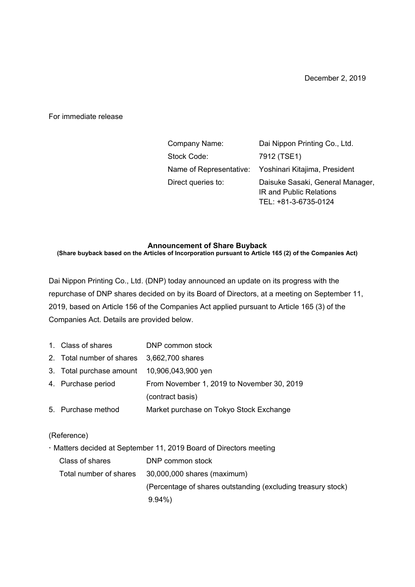For immediate release

| Company Name:      | Dai Nippon Printing Co., Ltd.                         |
|--------------------|-------------------------------------------------------|
| Stock Code:        | 7912 (TSE1)                                           |
|                    | Name of Representative: Yoshinari Kitajima, President |
| Direct queries to: | Daisuke Sasaki, General Manager,                      |
|                    | <b>IR and Public Relations</b>                        |
|                    | TEL: +81-3-6735-0124                                  |

## **Announcement of Share Buyback**

**(Share buyback based on the Articles of Incorporation pursuant to Article 165 (2) of the Companies Act)** 

Dai Nippon Printing Co., Ltd. (DNP) today announced an update on its progress with the repurchase of DNP shares decided on by its Board of Directors, at a meeting on September 11, 2019, based on Article 156 of the Companies Act applied pursuant to Article 165 (3) of the Companies Act. Details are provided below.

- 1. Class of shares DNP common stock
- 2. Total number of shares 3,662,700 shares
- 3. Total purchase amount 10,906,043,900 yen
- 4. Purchase period From November 1, 2019 to November 30, 2019 (contract basis) 5. Purchase method Market purchase on Tokyo Stock Exchange

## (Reference)

Matters decided at September 11, 2019 Board of Directors meeting

| Class of shares | DNP common stock                                             |
|-----------------|--------------------------------------------------------------|
|                 | Total number of shares 30,000,000 shares (maximum)           |
|                 | (Percentage of shares outstanding (excluding treasury stock) |
|                 | $9.94\%$                                                     |